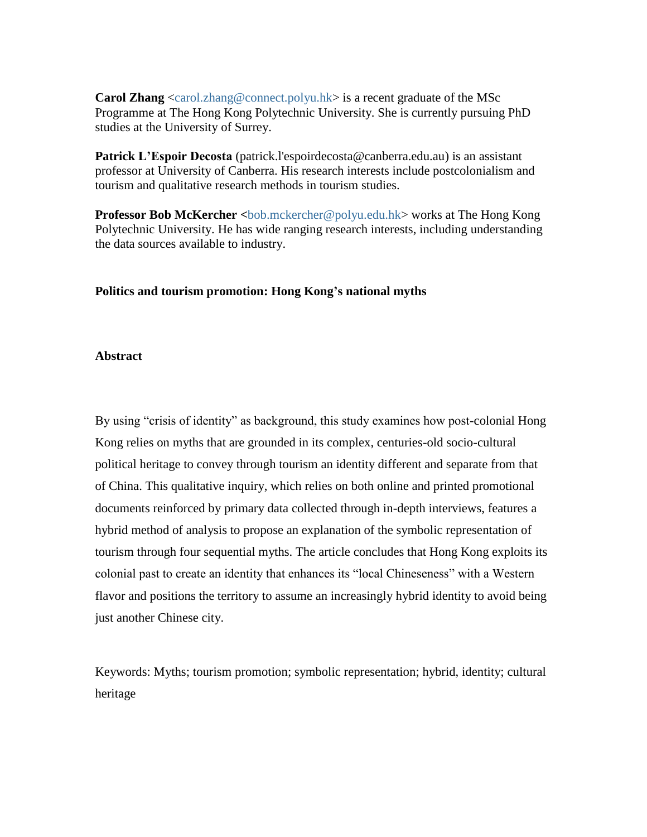**Carol Zhang** [<carol.zhang@connect.polyu.hk>](mailto:carol.zhang@connect.polyu.hk) is a recent graduate of the MSc Programme at The Hong Kong Polytechnic University. She is currently pursuing PhD studies at the University of Surrey.

**Patrick L'Espoir Decosta** [\(patrick.l'espoirdecosta@canberra.edu.au\)](mailto:patrick.l%27espoirdecosta@canberra.edu.au) is an assistant professor at University of Canberra. His research interests include postcolonialism and tourism and qualitative research methods in tourism studies.

**Professor Bob McKercher <**[bob.mckercher@polyu.edu.hk>](mailto:bob.mckercher@polyu.edu.hk) works at The Hong Kong Polytechnic University. He has wide ranging research interests, including understanding the data sources available to industry.

#### **Politics and tourism promotion: Hong Kong's national myths**

#### **Abstract**

By using "crisis of identity" as background, this study examines how post-colonial Hong Kong relies on myths that are grounded in its complex, centuries-old socio-cultural political heritage to convey through tourism an identity different and separate from that of China. This qualitative inquiry, which relies on both online and printed promotional documents reinforced by primary data collected through in-depth interviews, features a hybrid method of analysis to propose an explanation of the symbolic representation of tourism through four sequential myths. The article concludes that Hong Kong exploits its colonial past to create an identity that enhances its "local Chineseness" with a Western flavor and positions the territory to assume an increasingly hybrid identity to avoid being just another Chinese city.

Keywords: Myths; tourism promotion; symbolic representation; hybrid, identity; cultural heritage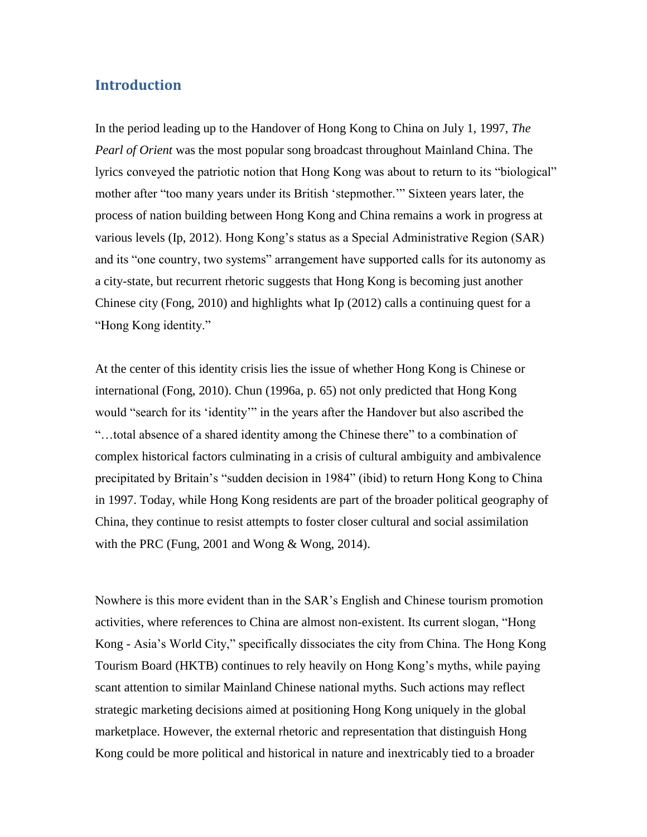# **Introduction**

In the period leading up to the Handover of Hong Kong to China on July 1, 1997, *The Pearl of Orient* was the most popular song broadcast throughout Mainland China. The lyrics conveyed the patriotic notion that Hong Kong was about to return to its "biological" mother after "too many years under its British 'stepmother.'" Sixteen years later, the process of nation building between Hong Kong and China remains a work in progress at various levels (Ip, 2012). Hong Kong's status as a Special Administrative Region (SAR) and its "one country, two systems" arrangement have supported calls for its autonomy as a city-state, but recurrent rhetoric suggests that Hong Kong is becoming just another Chinese city (Fong, 2010) and highlights what Ip (2012) calls a continuing quest for a "Hong Kong identity."

At the center of this identity crisis lies the issue of whether Hong Kong is Chinese or international (Fong, 2010). Chun (1996a, p. 65) not only predicted that Hong Kong would "search for its 'identity'" in the years after the Handover but also ascribed the "…total absence of a shared identity among the Chinese there" to a combination of complex historical factors culminating in a crisis of cultural ambiguity and ambivalence precipitated by Britain's "sudden decision in 1984" (ibid) to return Hong Kong to China in 1997. Today, while Hong Kong residents are part of the broader political geography of China, they continue to resist attempts to foster closer cultural and social assimilation with the PRC (Fung, 2001 and Wong & Wong, 2014).

Nowhere is this more evident than in the SAR's English and Chinese tourism promotion activities, where references to China are almost non-existent. Its current slogan, "Hong Kong - Asia's World City," specifically dissociates the city from China. The Hong Kong Tourism Board (HKTB) continues to rely heavily on Hong Kong's myths, while paying scant attention to similar Mainland Chinese national myths. Such actions may reflect strategic marketing decisions aimed at positioning Hong Kong uniquely in the global marketplace. However, the external rhetoric and representation that distinguish Hong Kong could be more political and historical in nature and inextricably tied to a broader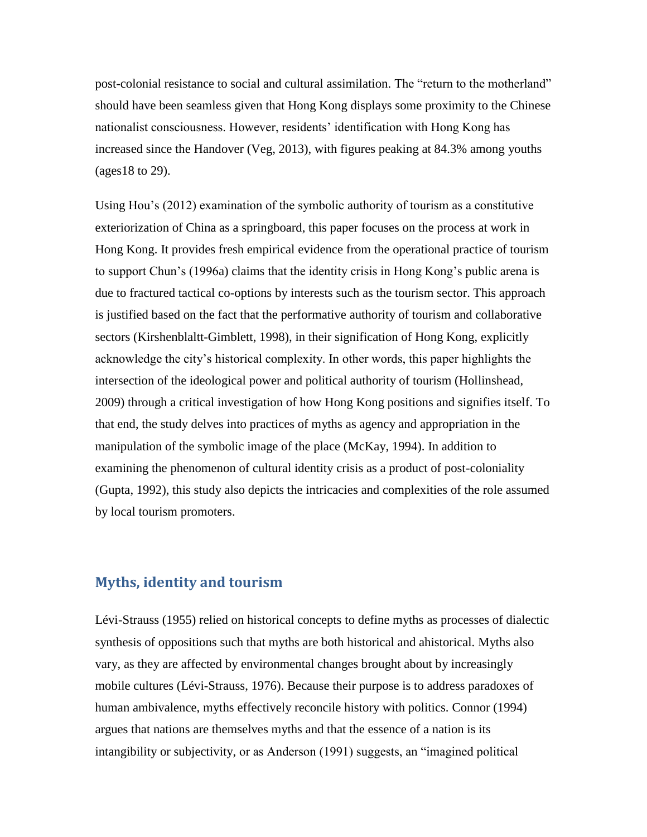post-colonial resistance to social and cultural assimilation. The "return to the motherland" should have been seamless given that Hong Kong displays some proximity to the Chinese nationalist consciousness. However, residents' identification with Hong Kong has increased since the Handover (Veg, 2013), with figures peaking at 84.3% among youths (ages18 to 29).

Using Hou's (2012) examination of the symbolic authority of tourism as a constitutive exteriorization of China as a springboard, this paper focuses on the process at work in Hong Kong. It provides fresh empirical evidence from the operational practice of tourism to support Chun's (1996a) claims that the identity crisis in Hong Kong's public arena is due to fractured tactical co-options by interests such as the tourism sector. This approach is justified based on the fact that the performative authority of tourism and collaborative sectors (Kirshenblaltt-Gimblett, 1998), in their signification of Hong Kong, explicitly acknowledge the city's historical complexity. In other words, this paper highlights the intersection of the ideological power and political authority of tourism (Hollinshead, 2009) through a critical investigation of how Hong Kong positions and signifies itself. To that end, the study delves into practices of myths as agency and appropriation in the manipulation of the symbolic image of the place (McKay, 1994). In addition to examining the phenomenon of cultural identity crisis as a product of post-coloniality (Gupta, 1992), this study also depicts the intricacies and complexities of the role assumed by local tourism promoters.

## **Myths, identity and tourism**

Lévi-Strauss (1955) relied on historical concepts to define myths as processes of dialectic synthesis of oppositions such that myths are both historical and ahistorical. Myths also vary, as they are affected by environmental changes brought about by increasingly mobile cultures (Lévi-Strauss, 1976). Because their purpose is to address paradoxes of human ambivalence, myths effectively reconcile history with politics. Connor (1994) argues that nations are themselves myths and that the essence of a nation is its intangibility or subjectivity, or as Anderson (1991) suggests, an "imagined political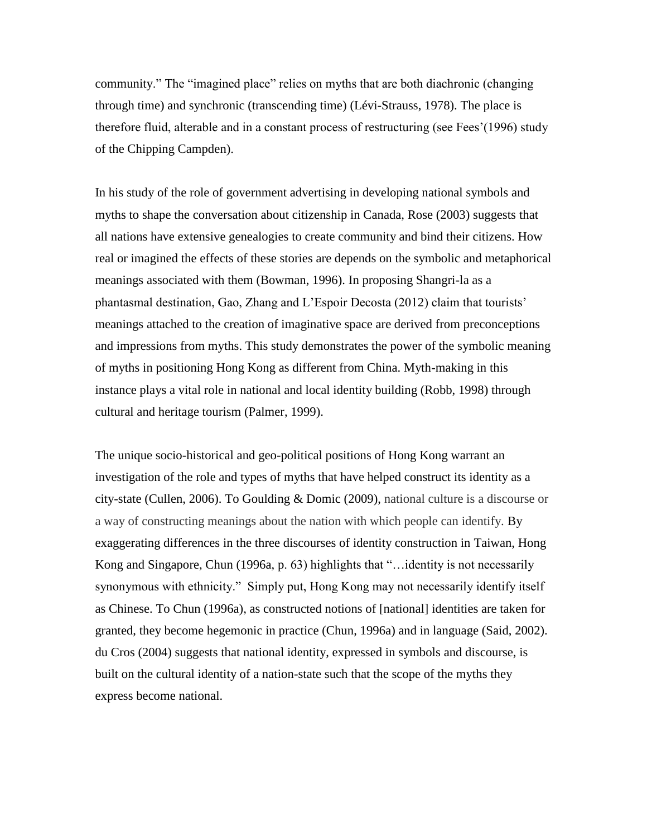community." The "imagined place" relies on myths that are both diachronic (changing through time) and synchronic (transcending time) (Lévi-Strauss, 1978). The place is therefore fluid, alterable and in a constant process of restructuring (see Fees'(1996) study of the Chipping Campden).

In his study of the role of government advertising in developing national symbols and myths to shape the conversation about citizenship in Canada, Rose (2003) suggests that all nations have extensive genealogies to create community and bind their citizens. How real or imagined the effects of these stories are depends on the symbolic and metaphorical meanings associated with them (Bowman, 1996). In proposing Shangri-la as a phantasmal destination, Gao, Zhang and L'Espoir Decosta (2012) claim that tourists' meanings attached to the creation of imaginative space are derived from preconceptions and impressions from myths. This study demonstrates the power of the symbolic meaning of myths in positioning Hong Kong as different from China. Myth-making in this instance plays a vital role in national and local identity building (Robb, 1998) through cultural and heritage tourism (Palmer, 1999).

The unique socio-historical and geo-political positions of Hong Kong warrant an investigation of the role and types of myths that have helped construct its identity as a city-state (Cullen, 2006). To Goulding & Domic (2009), national culture is a discourse or a way of constructing meanings about the nation with which people can identify. By exaggerating differences in the three discourses of identity construction in Taiwan, Hong Kong and Singapore, Chun (1996a, p. 63) highlights that "…identity is not necessarily synonymous with ethnicity." Simply put, Hong Kong may not necessarily identify itself as Chinese. To Chun (1996a), as constructed notions of [national] identities are taken for granted, they become hegemonic in practice (Chun, 1996a) and in language (Said, 2002). du Cros (2004) suggests that national identity, expressed in symbols and discourse, is built on the cultural identity of a nation-state such that the scope of the myths they express become national.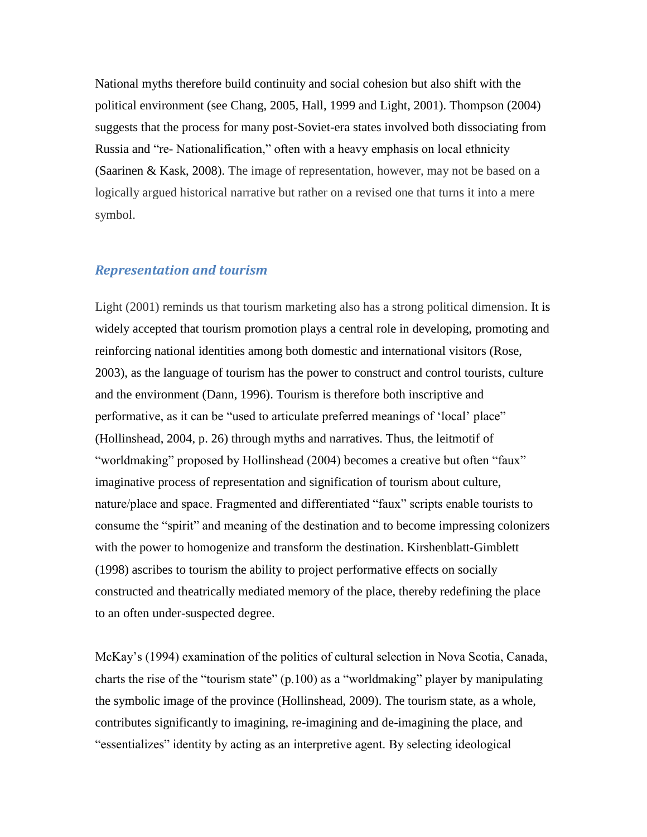National myths therefore build continuity and social cohesion but also shift with the political environment (see Chang, 2005, Hall, 1999 and Light, 2001). Thompson (2004) suggests that the process for many post-Soviet-era states involved both dissociating from Russia and "re- Nationalification," often with a heavy emphasis on local ethnicity (Saarinen & Kask, 2008). The image of representation, however, may not be based on a logically argued historical narrative but rather on a revised one that turns it into a mere symbol.

## *Representation and tourism*

Light (2001) reminds us that tourism marketing also has a strong political dimension. It is widely accepted that tourism promotion plays a central role in developing, promoting and reinforcing national identities among both domestic and international visitors (Rose, 2003), as the language of tourism has the power to construct and control tourists, culture and the environment (Dann, 1996). Tourism is therefore both inscriptive and performative, as it can be "used to articulate preferred meanings of 'local' place" (Hollinshead, 2004, p. 26) through myths and narratives. Thus, the leitmotif of "worldmaking" proposed by Hollinshead (2004) becomes a creative but often "faux" imaginative process of representation and signification of tourism about culture, nature/place and space. Fragmented and differentiated "faux" scripts enable tourists to consume the "spirit" and meaning of the destination and to become impressing colonizers with the power to homogenize and transform the destination. Kirshenblatt-Gimblett (1998) ascribes to tourism the ability to project performative effects on socially constructed and theatrically mediated memory of the place, thereby redefining the place to an often under-suspected degree.

McKay's (1994) examination of the politics of cultural selection in Nova Scotia, Canada, charts the rise of the "tourism state" (p.100) as a "worldmaking" player by manipulating the symbolic image of the province (Hollinshead, 2009). The tourism state, as a whole, contributes significantly to imagining, re-imagining and de-imagining the place, and "essentializes" identity by acting as an interpretive agent. By selecting ideological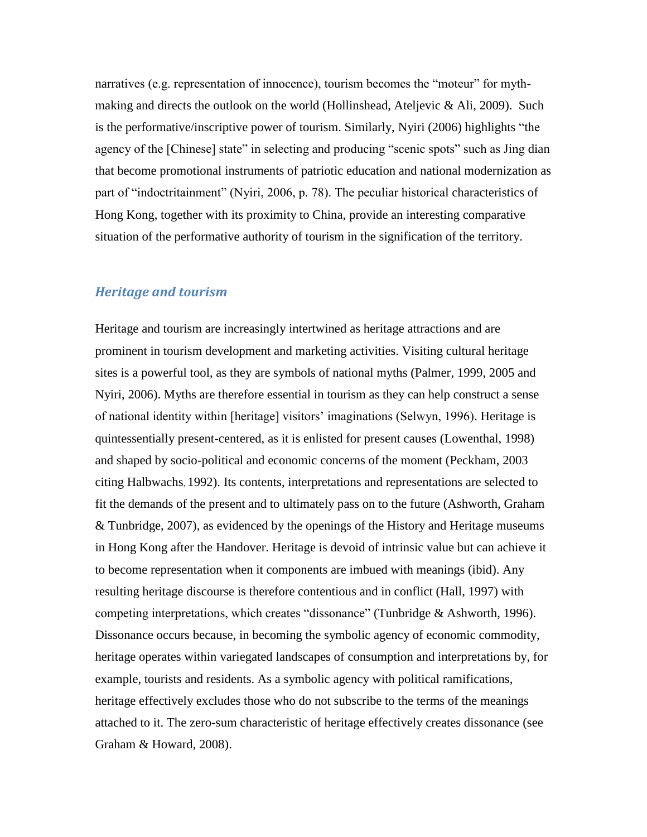narratives (e.g. representation of innocence), tourism becomes the "moteur" for mythmaking and directs the outlook on the world (Hollinshead, Ateljevic & Ali, 2009). Such is the performative/inscriptive power of tourism. Similarly, Nyiri (2006) highlights "the agency of the [Chinese] state" in selecting and producing "scenic spots" such as Jing dian that become promotional instruments of patriotic education and national modernization as part of "indoctritainment" (Nyiri, 2006, p. 78). The peculiar historical characteristics of Hong Kong, together with its proximity to China, provide an interesting comparative situation of the performative authority of tourism in the signification of the territory.

## *Heritage and tourism*

Heritage and tourism are increasingly intertwined as heritage attractions and are prominent in tourism development and marketing activities. Visiting cultural heritage sites is a powerful tool, as they are symbols of national myths (Palmer, 1999, 2005 and Nyiri, 2006). Myths are therefore essential in tourism as they can help construct a sense of national identity within [heritage] visitors' imaginations (Selwyn, 1996). Heritage is quintessentially present-centered, as it is enlisted for present causes (Lowenthal, 1998) and shaped by socio-political and economic concerns of the moment (Peckham, 2003 citing Halbwachs, 1992). Its contents, interpretations and representations are selected to fit the demands of the present and to ultimately pass on to the future (Ashworth, Graham & Tunbridge, 2007), as evidenced by the openings of the History and Heritage museums in Hong Kong after the Handover. Heritage is devoid of intrinsic value but can achieve it to become representation when it components are imbued with meanings (ibid). Any resulting heritage discourse is therefore contentious and in conflict (Hall, 1997) with competing interpretations, which creates "dissonance" (Tunbridge & Ashworth, 1996). Dissonance occurs because, in becoming the symbolic agency of economic commodity, heritage operates within variegated landscapes of consumption and interpretations by, for example, tourists and residents. As a symbolic agency with political ramifications, heritage effectively excludes those who do not subscribe to the terms of the meanings attached to it. The zero-sum characteristic of heritage effectively creates dissonance (see Graham & Howard, 2008).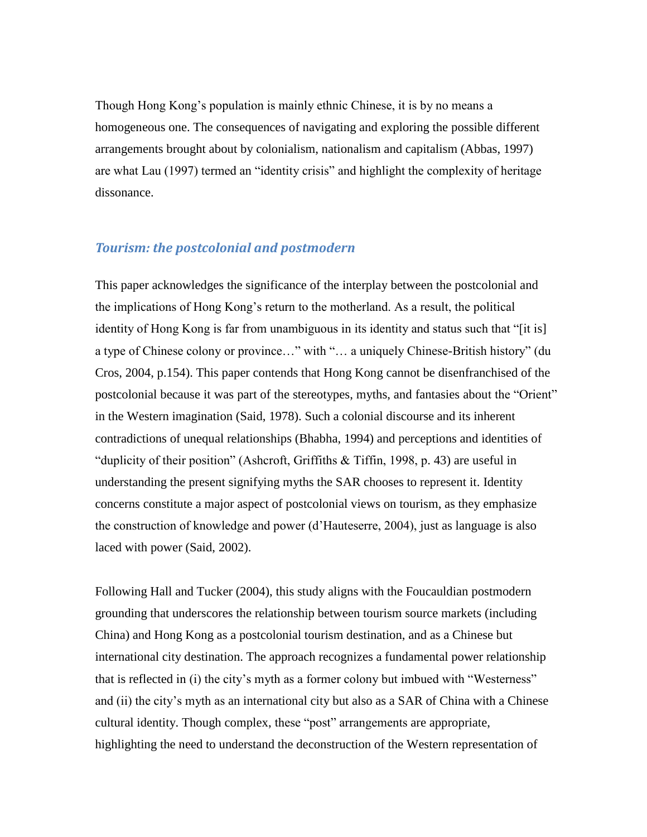Though Hong Kong's population is mainly ethnic Chinese, it is by no means a homogeneous one. The consequences of navigating and exploring the possible different arrangements brought about by colonialism, nationalism and capitalism (Abbas, 1997) are what Lau (1997) termed an "identity crisis" and highlight the complexity of heritage dissonance.

## *Tourism: the postcolonial and postmodern*

This paper acknowledges the significance of the interplay between the postcolonial and the implications of Hong Kong's return to the motherland. As a result, the political identity of Hong Kong is far from unambiguous in its identity and status such that "[it is] a type of Chinese colony or province…" with "… a uniquely Chinese-British history" (du Cros, 2004, p.154). This paper contends that Hong Kong cannot be disenfranchised of the postcolonial because it was part of the stereotypes, myths, and fantasies about the "Orient" in the Western imagination (Said, 1978). Such a colonial discourse and its inherent contradictions of unequal relationships (Bhabha, 1994) and perceptions and identities of "duplicity of their position" (Ashcroft, Griffiths & Tiffin, 1998, p. 43) are useful in understanding the present signifying myths the SAR chooses to represent it. Identity concerns constitute a major aspect of postcolonial views on tourism, as they emphasize the construction of knowledge and power (d'Hauteserre, 2004), just as language is also laced with power (Said, 2002).

Following Hall and Tucker (2004), this study aligns with the Foucauldian postmodern grounding that underscores the relationship between tourism source markets (including China) and Hong Kong as a postcolonial tourism destination, and as a Chinese but international city destination. The approach recognizes a fundamental power relationship that is reflected in (i) the city's myth as a former colony but imbued with "Westerness" and (ii) the city's myth as an international city but also as a SAR of China with a Chinese cultural identity. Though complex, these "post" arrangements are appropriate, highlighting the need to understand the deconstruction of the Western representation of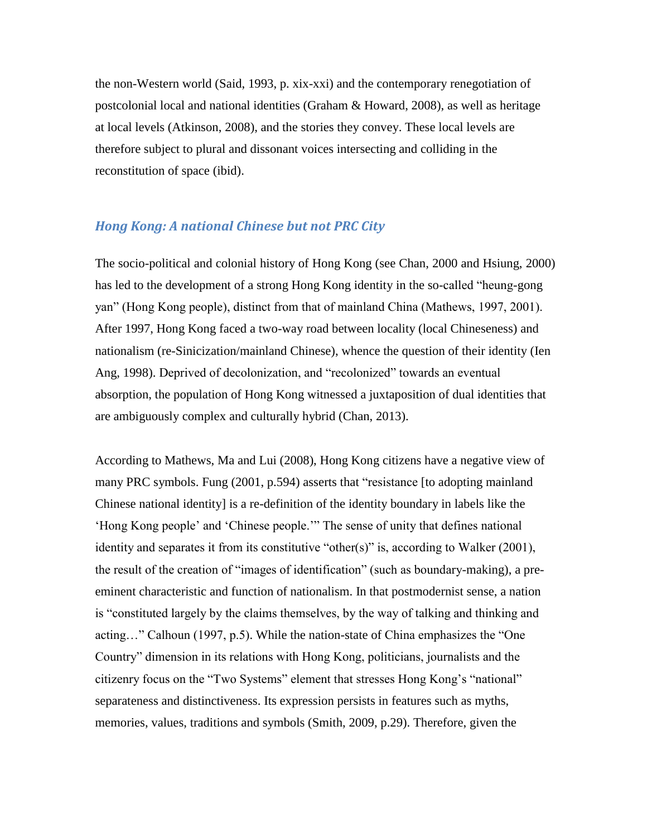the non-Western world (Said, 1993, p. xix-xxi) and the contemporary renegotiation of postcolonial local and national identities (Graham & Howard, 2008), as well as heritage at local levels (Atkinson, 2008), and the stories they convey. These local levels are therefore subject to plural and dissonant voices intersecting and colliding in the reconstitution of space (ibid).

## *Hong Kong: A national Chinese but not PRC City*

The socio-political and colonial history of Hong Kong (see Chan, 2000 and Hsiung, 2000) has led to the development of a strong Hong Kong identity in the so-called "heung-gong yan" (Hong Kong people), distinct from that of mainland China (Mathews, 1997, 2001). After 1997, Hong Kong faced a two-way road between locality (local Chineseness) and nationalism (re-Sinicization/mainland Chinese), whence the question of their identity (Ien Ang, 1998). Deprived of decolonization, and "recolonized" towards an eventual absorption, the population of Hong Kong witnessed a juxtaposition of dual identities that are ambiguously complex and culturally hybrid (Chan, 2013).

According to Mathews, Ma and Lui (2008), Hong Kong citizens have a negative view of many PRC symbols. Fung (2001, p.594) asserts that "resistance [to adopting mainland Chinese national identity] is a re-definition of the identity boundary in labels like the 'Hong Kong people' and 'Chinese people.'" The sense of unity that defines national identity and separates it from its constitutive "other(s)" is, according to Walker (2001), the result of the creation of "images of identification" (such as boundary-making), a preeminent characteristic and function of nationalism. In that postmodernist sense, a nation is "constituted largely by the claims themselves, by the way of talking and thinking and acting…" Calhoun (1997, p.5). While the nation-state of China emphasizes the "One Country" dimension in its relations with Hong Kong, politicians, journalists and the citizenry focus on the "Two Systems" element that stresses Hong Kong's "national" separateness and distinctiveness. Its expression persists in features such as myths, memories, values, traditions and symbols (Smith, 2009, p.29). Therefore, given the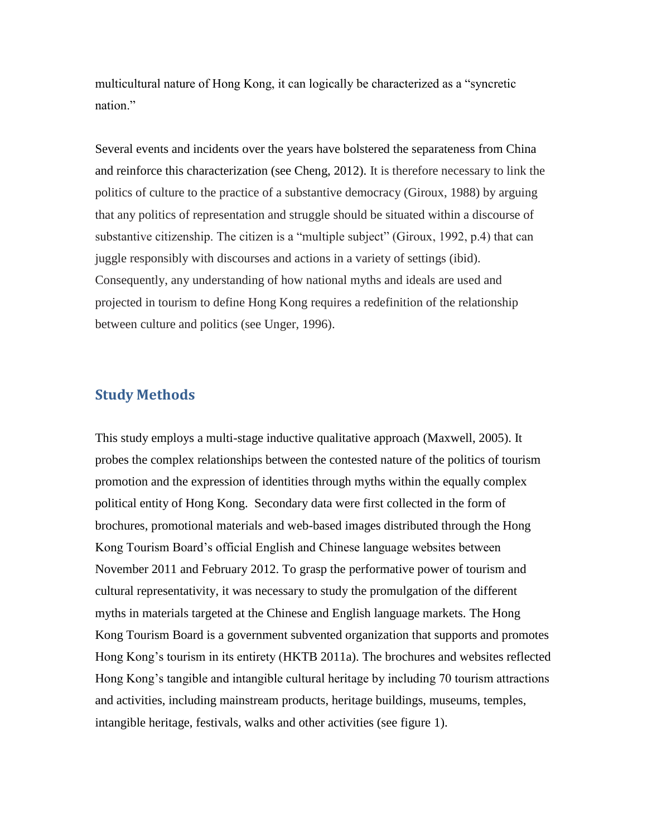multicultural nature of Hong Kong, it can logically be characterized as a "syncretic nation."

Several events and incidents over the years have bolstered the separateness from China and reinforce this characterization (see Cheng, 2012). It is therefore necessary to link the politics of culture to the practice of a substantive democracy (Giroux, 1988) by arguing that any politics of representation and struggle should be situated within a discourse of substantive citizenship. The citizen is a "multiple subject" (Giroux, 1992, p.4) that can juggle responsibly with discourses and actions in a variety of settings (ibid). Consequently, any understanding of how national myths and ideals are used and projected in tourism to define Hong Kong requires a redefinition of the relationship between culture and politics (see Unger, 1996).

## **Study Methods**

This study employs a multi-stage inductive qualitative approach (Maxwell, 2005). It probes the complex relationships between the contested nature of the politics of tourism promotion and the expression of identities through myths within the equally complex political entity of Hong Kong. Secondary data were first collected in the form of brochures, promotional materials and web-based images distributed through the Hong Kong Tourism Board's official English and Chinese language websites between November 2011 and February 2012. To grasp the performative power of tourism and cultural representativity, it was necessary to study the promulgation of the different myths in materials targeted at the Chinese and English language markets. The Hong Kong Tourism Board is a government subvented organization that supports and promotes Hong Kong's tourism in its entirety [\(HKTB](http://www.discoverhongkong.com/) 2011a). The brochures and websites reflected Hong Kong's tangible and intangible cultural heritage by including 70 tourism attractions and activities, including mainstream products, heritage buildings, museums, temples, intangible heritage, festivals, walks and other activities (see figure 1).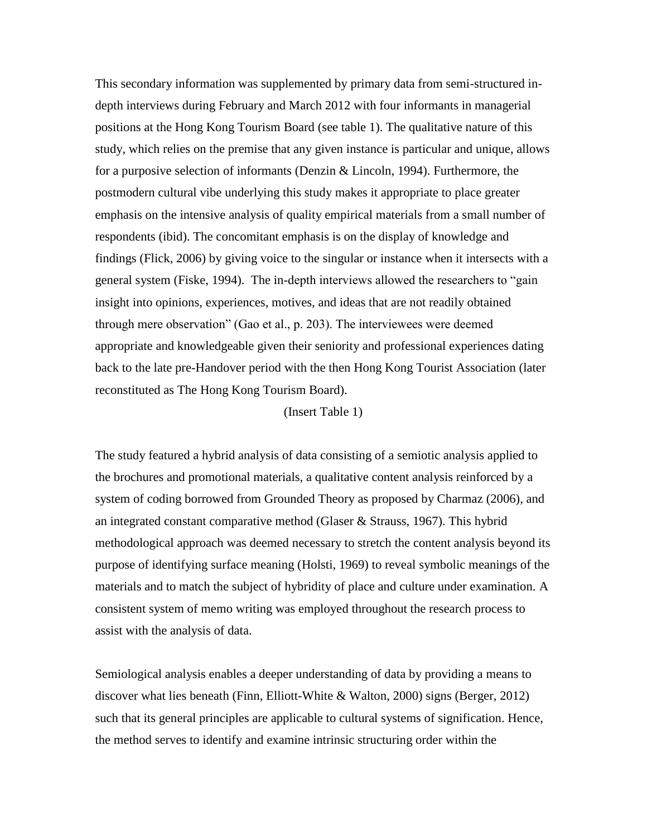This secondary information was supplemented by primary data from semi-structured indepth interviews during February and March 2012 with four informants in managerial positions at the Hong Kong Tourism Board (see table 1). The qualitative nature of this study, which relies on the premise that any given instance is particular and unique, allows for a purposive selection of informants (Denzin & Lincoln, 1994). Furthermore, the postmodern cultural vibe underlying this study makes it appropriate to place greater emphasis on the intensive analysis of quality empirical materials from a small number of respondents (ibid). The concomitant emphasis is on the display of knowledge and findings (Flick, 2006) by giving voice to the singular or instance when it intersects with a general system (Fiske, 1994). The in-depth interviews allowed the researchers to "gain insight into opinions, experiences, motives, and ideas that are not readily obtained through mere observation" (Gao et al., p. 203). The interviewees were deemed appropriate and knowledgeable given their seniority and professional experiences dating back to the late pre-Handover period with the then Hong Kong Tourist Association (later reconstituted as The Hong Kong Tourism Board).

#### (Insert Table 1)

The study featured a hybrid analysis of data consisting of a semiotic analysis applied to the brochures and promotional materials, a qualitative content analysis reinforced by a system of coding borrowed from Grounded Theory as proposed by Charmaz (2006), and an integrated constant comparative method (Glaser & Strauss, 1967). This hybrid methodological approach was deemed necessary to stretch the content analysis beyond its purpose of identifying surface meaning (Holsti, 1969) to reveal symbolic meanings of the materials and to match the subject of hybridity of place and culture under examination. A consistent system of memo writing was employed throughout the research process to assist with the analysis of data.

Semiological analysis enables a deeper understanding of data by providing a means to discover what lies beneath (Finn, Elliott-White & Walton, 2000) signs (Berger, 2012) such that its general principles are applicable to cultural systems of signification. Hence, the method serves to identify and examine intrinsic structuring order within the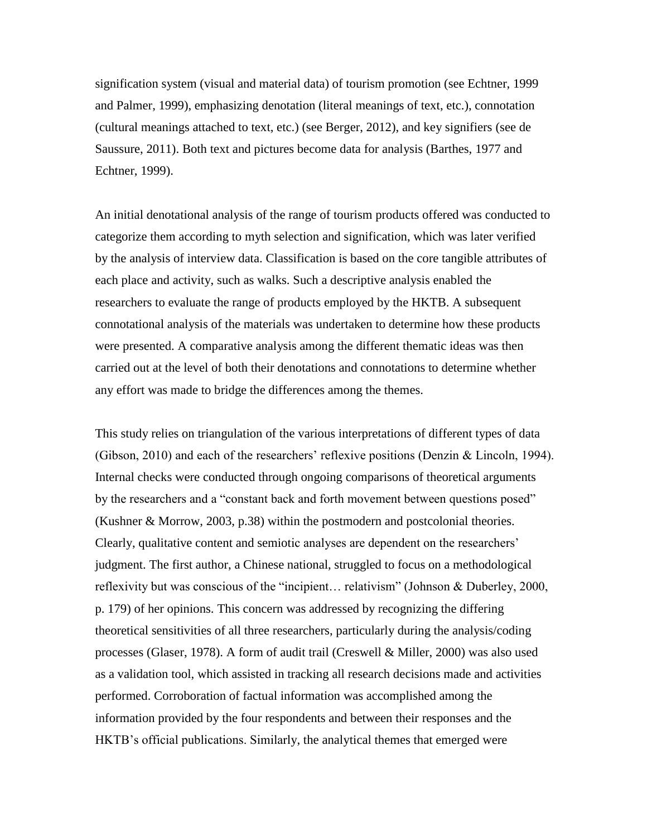signification system (visual and material data) of tourism promotion (see Echtner, 1999 and Palmer, 1999), emphasizing denotation (literal meanings of text, etc.), connotation (cultural meanings attached to text, etc.) (see Berger, 2012), and key signifiers (see de Saussure, 2011). Both text and pictures become data for analysis (Barthes, 1977 and Echtner, 1999).

An initial denotational analysis of the range of tourism products offered was conducted to categorize them according to myth selection and signification, which was later verified by the analysis of interview data. Classification is based on the core tangible attributes of each place and activity, such as walks. Such a descriptive analysis enabled the researchers to evaluate the range of products employed by the HKTB. A subsequent connotational analysis of the materials was undertaken to determine how these products were presented. A comparative analysis among the different thematic ideas was then carried out at the level of both their denotations and connotations to determine whether any effort was made to bridge the differences among the themes.

This study relies on triangulation of the various interpretations of different types of data (Gibson, 2010) and each of the researchers' reflexive positions (Denzin & Lincoln, 1994). Internal checks were conducted through ongoing comparisons of theoretical arguments by the researchers and a "constant back and forth movement between questions posed" (Kushner & Morrow, 2003, p.38) within the postmodern and postcolonial theories. Clearly, qualitative content and semiotic analyses are dependent on the researchers' judgment. The first author, a Chinese national, struggled to focus on a methodological reflexivity but was conscious of the "incipient… relativism" (Johnson & Duberley, 2000, p. 179) of her opinions. This concern was addressed by recognizing the differing theoretical sensitivities of all three researchers, particularly during the analysis/coding processes (Glaser, 1978). A form of audit trail (Creswell & Miller, 2000) was also used as a validation tool, which assisted in tracking all research decisions made and activities performed. Corroboration of factual information was accomplished among the information provided by the four respondents and between their responses and the HKTB's official publications. Similarly, the analytical themes that emerged were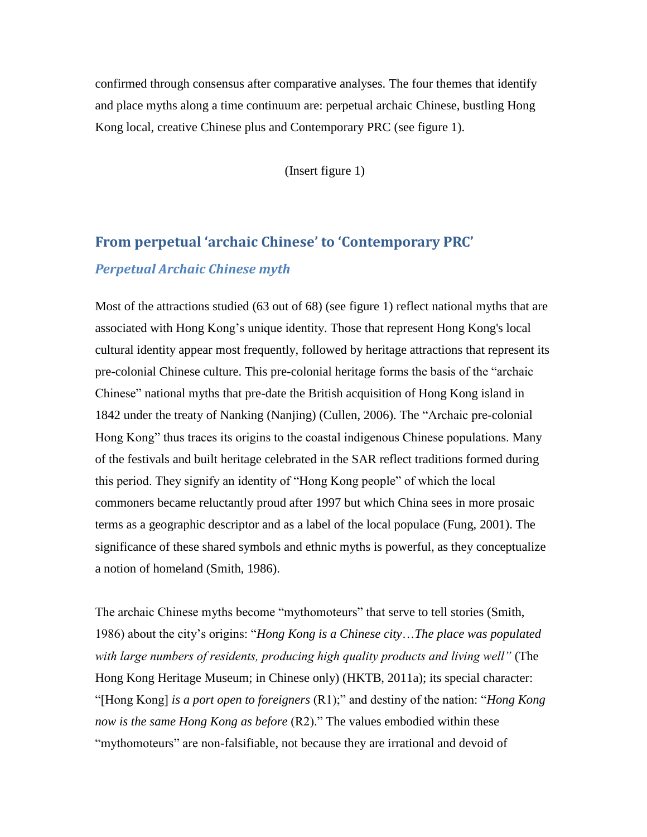confirmed through consensus after comparative analyses. The four themes that identify and place myths along a time continuum are: perpetual archaic Chinese, bustling Hong Kong local, creative Chinese plus and Contemporary PRC (see figure 1).

(Insert figure 1)

# **From perpetual 'archaic Chinese' to 'Contemporary PRC'** *Perpetual Archaic Chinese myth*

Most of the attractions studied (63 out of 68) (see figure 1) reflect national myths that are associated with Hong Kong's unique identity. Those that represent Hong Kong's local cultural identity appear most frequently, followed by heritage attractions that represent its pre-colonial Chinese culture. This pre-colonial heritage forms the basis of the "archaic Chinese" national myths that pre-date the British acquisition of Hong Kong island in 1842 under the treaty of Nanking (Nanjing) (Cullen, 2006). The "Archaic pre-colonial Hong Kong" thus traces its origins to the coastal indigenous Chinese populations. Many of the festivals and built heritage celebrated in the SAR reflect traditions formed during this period. They signify an identity of "Hong Kong people" of which the local commoners became reluctantly proud after 1997 but which China sees in more prosaic terms as a geographic descriptor and as a label of the local populace (Fung, 2001). The significance of these shared symbols and ethnic myths is powerful, as they conceptualize a notion of homeland (Smith, 1986).

The archaic Chinese myths become "mythomoteurs" that serve to tell stories (Smith, 1986) about the city's origins: "*Hong Kong is a Chinese city*…*The place was populated with large numbers of residents, producing high quality products and living well"* (The Hong Kong Heritage Museum; in Chinese only) (HKTB, 2011a); its special character: "[Hong Kong] *is a port open to foreigners* (R1);" and destiny of the nation: "*Hong Kong now is the same Hong Kong as before* (R2)." The values embodied within these "mythomoteurs" are non-falsifiable, not because they are irrational and devoid of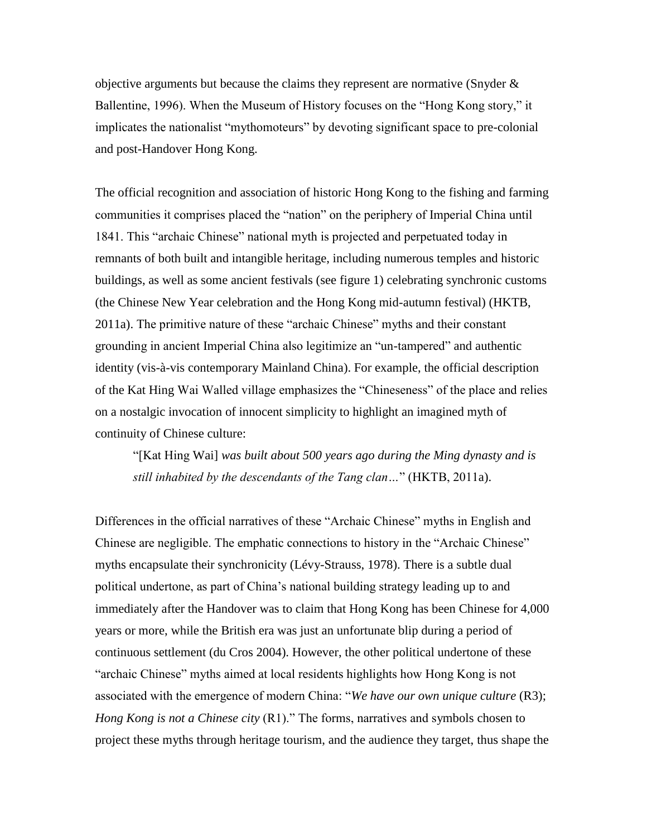objective arguments but because the claims they represent are normative (Snyder  $\&$ Ballentine, 1996). When the Museum of History focuses on the "Hong Kong story," it implicates the nationalist "mythomoteurs" by devoting significant space to pre-colonial and post-Handover Hong Kong.

The official recognition and association of historic Hong Kong to the fishing and farming communities it comprises placed the "nation" on the periphery of Imperial China until 1841. This "archaic Chinese" national myth is projected and perpetuated today in remnants of both built and intangible heritage, including numerous temples and historic buildings, as well as some ancient festivals (see figure 1) celebrating synchronic customs (the Chinese New Year celebration and the Hong Kong mid-autumn festival) [\(HKTB,](http://www.discoverhongkong.com/) 2011a). The primitive nature of these "archaic Chinese" myths and their constant grounding in ancient Imperial China also legitimize an "un-tampered" and authentic identity (vis-à-vis contemporary Mainland China). For example, the official description of the Kat Hing Wai Walled village emphasizes the "Chineseness" of the place and relies on a nostalgic invocation of innocent simplicity to highlight an imagined myth of continuity of Chinese culture:

"[Kat Hing Wai] *was built about 500 years ago during the Ming dynasty and is still inhabited by the descendants of the Tang clan…*" (HKTB, 2011a).

Differences in the official narratives of these "Archaic Chinese" myths in English and Chinese are negligible. The emphatic connections to history in the "Archaic Chinese" myths encapsulate their synchronicity (Lévy-Strauss, 1978). There is a subtle dual political undertone, as part of China's national building strategy leading up to and immediately after the Handover was to claim that Hong Kong has been Chinese for 4,000 years or more, while the British era was just an unfortunate blip during a period of continuous settlement (du Cros 2004). However, the other political undertone of these "archaic Chinese" myths aimed at local residents highlights how Hong Kong is not associated with the emergence of modern China: "*We have our own unique culture* (R3); *Hong Kong is not a Chinese city* (R1)." The forms, narratives and symbols chosen to project these myths through heritage tourism, and the audience they target, thus shape the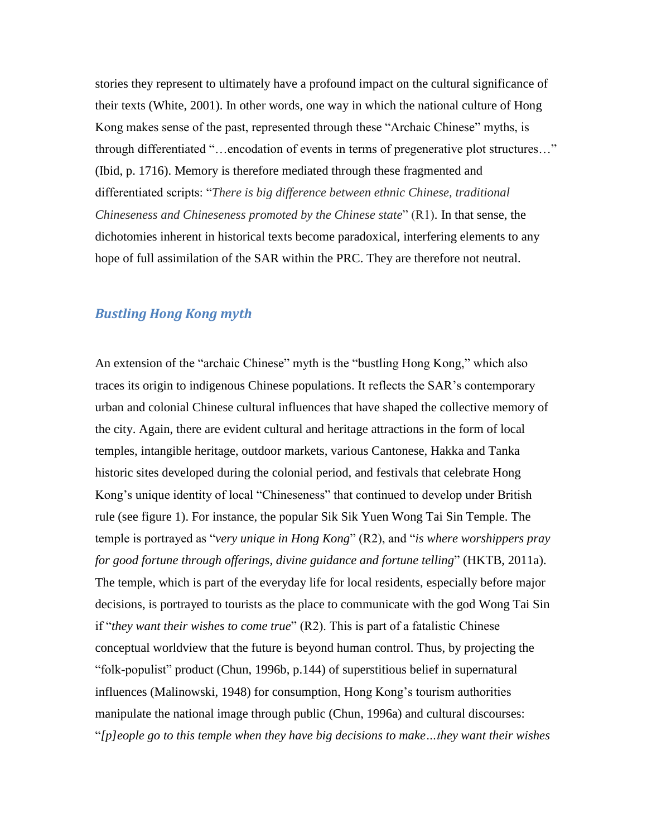stories they represent to ultimately have a profound impact on the cultural significance of their texts (White, 2001). In other words, one way in which the national culture of Hong Kong makes sense of the past, represented through these "Archaic Chinese" myths, is through differentiated "…encodation of events in terms of pregenerative plot structures…" (Ibid, p. 1716). Memory is therefore mediated through these fragmented and differentiated scripts: "*There is big difference between ethnic Chinese, traditional Chineseness and Chineseness promoted by the Chinese state*" (R1). In that sense, the dichotomies inherent in historical texts become paradoxical, interfering elements to any hope of full assimilation of the SAR within the PRC. They are therefore not neutral.

## *Bustling Hong Kong myth*

An extension of the "archaic Chinese" myth is the "bustling Hong Kong," which also traces its origin to indigenous Chinese populations. It reflects the SAR's contemporary urban and colonial Chinese cultural influences that have shaped the collective memory of the city. Again, there are evident cultural and heritage attractions in the form of local temples, intangible heritage, outdoor markets, various Cantonese, Hakka and Tanka historic sites developed during the colonial period, and festivals that celebrate Hong Kong's unique identity of local "Chineseness" that continued to develop under British rule (see figure 1). For instance, the popular Sik Sik Yuen Wong Tai Sin Temple. The temple is portrayed as "*very unique in Hong Kong*" (R2), and "*is where worshippers pray for good fortune through offerings, divine guidance and fortune telling*" [\(HKTB,](http://www.discoverhongkong.com/) 2011a). The temple, which is part of the everyday life for local residents, especially before major decisions, is portrayed to tourists as the place to communicate with the god Wong Tai Sin if "*they want their wishes to come true*" (R2). This is part of a fatalistic Chinese conceptual worldview that the future is beyond human control. Thus, by projecting the "folk-populist" product (Chun, 1996b, p.144) of superstitious belief in supernatural influences (Malinowski, 1948) for consumption, Hong Kong's tourism authorities manipulate the national image through public (Chun, 1996a) and cultural discourses: "*[p]eople go to this temple when they have big decisions to make…they want their wishes*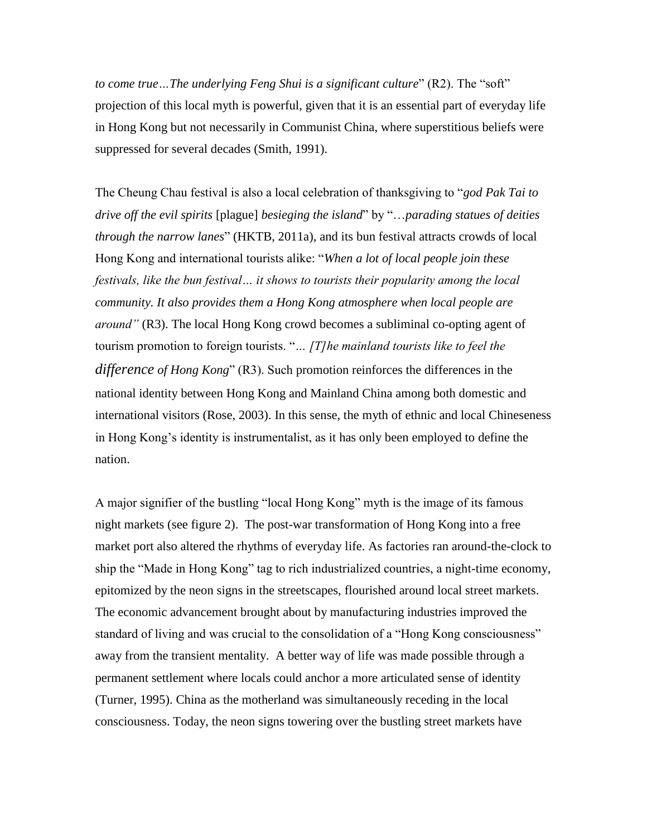*to come true…The underlying Feng Shui is a significant culture*" (R2). The "soft" projection of this local myth is powerful, given that it is an essential part of everyday life in Hong Kong but not necessarily in Communist China, where superstitious beliefs were suppressed for several decades (Smith, 1991).

The Cheung Chau festival is also a local celebration of thanksgiving to "*god Pak Tai to drive off the evil spirits* [plague] *besieging the island*" by "…*parading statues of deities through the narrow lanes*" (HKTB, 2011a), and its bun festival attracts crowds of local Hong Kong and international tourists alike: "*When a lot of local people join these festivals, like the bun festival… it shows to tourists their popularity among the local community. It also provides them a Hong Kong atmosphere when local people are around"* (R3). The local Hong Kong crowd becomes a subliminal co-opting agent of tourism promotion to foreign tourists. "*… [T]he mainland tourists like to feel the difference of Hong Kong*" (R3). Such promotion reinforces the differences in the national identity between Hong Kong and Mainland China among both domestic and international visitors (Rose, 2003). In this sense, the myth of ethnic and local Chineseness in Hong Kong's identity is instrumentalist, as it has only been employed to define the nation.

A major signifier of the bustling "local Hong Kong" myth is the image of its famous night markets (see figure 2). The post-war transformation of Hong Kong into a free market port also altered the rhythms of everyday life. As factories ran around-the-clock to ship the "Made in Hong Kong" tag to rich industrialized countries, a night-time economy, epitomized by the neon signs in the streetscapes, flourished around local street markets. The economic advancement brought about by manufacturing industries improved the standard of living and was crucial to the consolidation of a "Hong Kong consciousness" away from the transient mentality. A better way of life was made possible through a permanent settlement where locals could anchor a more articulated sense of identity (Turner, 1995). China as the motherland was simultaneously receding in the local consciousness. Today, the neon signs towering over the bustling street markets have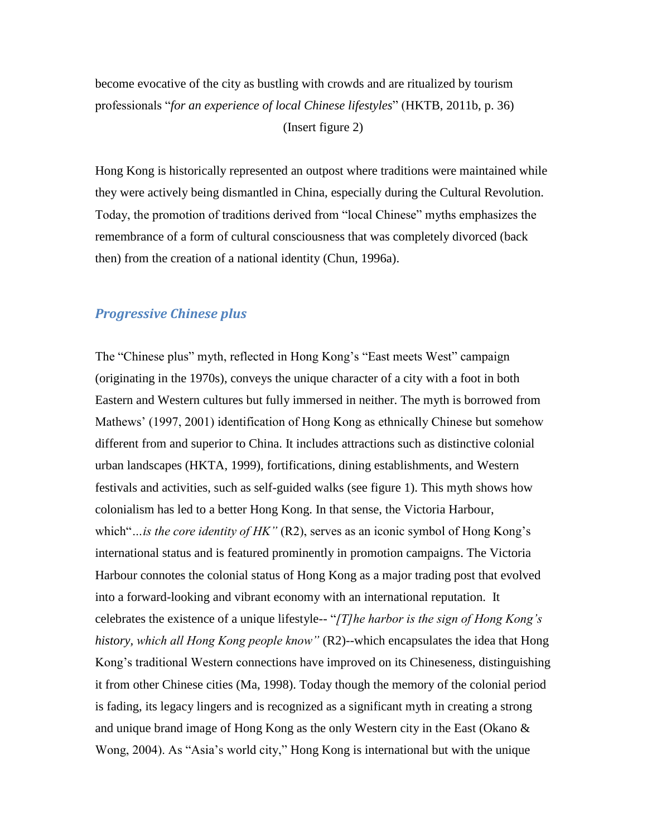become evocative of the city as bustling with crowds and are ritualized by tourism professionals "*for an experience of local Chinese lifestyles*" (HKTB, 2011b, p. 36) (Insert figure 2)

Hong Kong is historically represented an outpost where traditions were maintained while they were actively being dismantled in China, especially during the Cultural Revolution. Today, the promotion of traditions derived from "local Chinese" myths emphasizes the remembrance of a form of cultural consciousness that was completely divorced (back then) from the creation of a national identity (Chun, 1996a).

## *Progressive Chinese plus*

The "Chinese plus" myth, reflected in Hong Kong's "East meets West" campaign (originating in the 1970s), conveys the unique character of a city with a foot in both Eastern and Western cultures but fully immersed in neither. The myth is borrowed from Mathews' (1997, 2001) identification of Hong Kong as ethnically Chinese but somehow different from and superior to China. It includes attractions such as distinctive colonial urban landscapes (HKTA, 1999), fortifications, dining establishments, and Western festivals and activities, such as self-guided walks (see figure 1). This myth shows how colonialism has led to a better Hong Kong. In that sense, the Victoria Harbour, which"...*is the core identity of HK"* (R2), serves as an iconic symbol of Hong Kong's international status and is featured prominently in promotion campaigns. The Victoria Harbour connotes the colonial status of Hong Kong as a major trading post that evolved into a forward-looking and vibrant economy with an international reputation. It celebrates the existence of a unique lifestyle-- "*[T]he harbor is the sign of Hong Kong's history, which all Hong Kong people know"* (R2)--which encapsulates the idea that Hong Kong's traditional Western connections have improved on its Chineseness, distinguishing it from other Chinese cities (Ma, 1998). Today though the memory of the colonial period is fading, its legacy lingers and is recognized as a significant myth in creating a strong and unique brand image of Hong Kong as the only Western city in the East (Okano & Wong, 2004). As "Asia's world city," Hong Kong is international but with the unique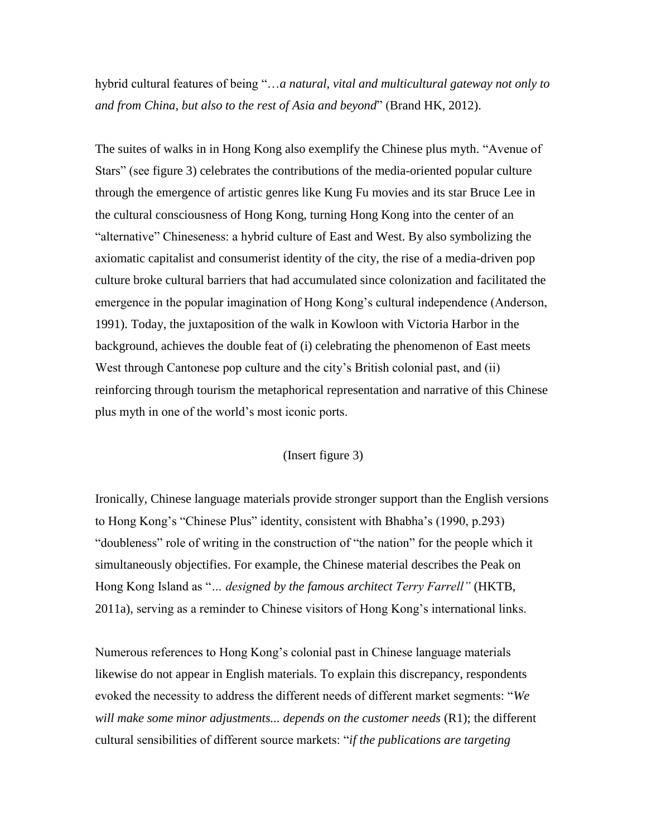hybrid cultural features of being "…*a natural, vital and multicultural gateway not only to and from China, but also to the rest of Asia and beyond*" (Brand HK, 2012).

The suites of walks in in Hong Kong also exemplify the Chinese plus myth. "Avenue of Stars" (see figure 3) celebrates the contributions of the media-oriented popular culture through the emergence of artistic genres like Kung Fu movies and its star Bruce Lee in the cultural consciousness of Hong Kong, turning Hong Kong into the center of an "alternative" Chineseness: a hybrid culture of East and West. By also symbolizing the axiomatic capitalist and consumerist identity of the city, the rise of a media-driven pop culture broke cultural barriers that had accumulated since colonization and facilitated the emergence in the popular imagination of Hong Kong's cultural independence (Anderson, 1991). Today, the juxtaposition of the walk in Kowloon with Victoria Harbor in the background, achieves the double feat of (i) celebrating the phenomenon of East meets West through Cantonese pop culture and the city's British colonial past, and (ii) reinforcing through tourism the metaphorical representation and narrative of this Chinese plus myth in one of the world's most iconic ports.

#### (Insert figure 3)

Ironically, Chinese language materials provide stronger support than the English versions to Hong Kong's "Chinese Plus" identity, consistent with Bhabha's (1990, p.293) "doubleness" role of writing in the construction of "the nation" for the people which it simultaneously objectifies. For example, the Chinese material describes the Peak on Hong Kong Island as "*… designed by the famous [architect](app:ds:architect) Terry Farrell"* (HKTB, 2011a)*,* serving as a reminder to Chinese visitors of Hong Kong's international links.

Numerous references to Hong Kong's colonial past in Chinese language materials likewise do not appear in English materials. To explain this discrepancy, respondents evoked the necessity to address the different needs of different market segments: "*We*  will make some minor adjustments... depends on the customer needs (R1); the different cultural sensibilities of different source markets: "*if the publications are targeting*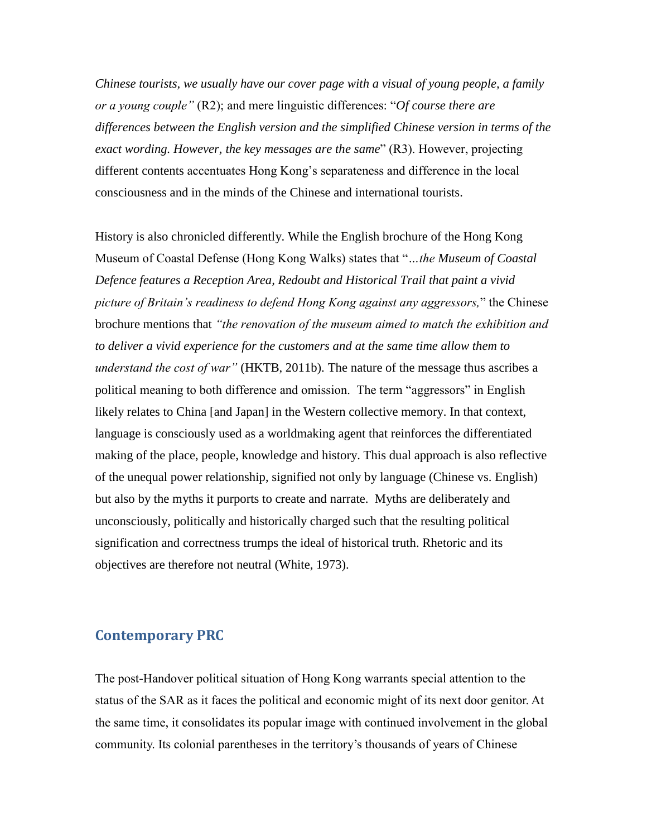*Chinese tourists, we usually have our cover page with a visual of young people, a family or a young couple"* (R2); and mere linguistic differences: "*Of course there are differences between the English version and the simplified Chinese version in terms of the exact wording. However, the key messages are the same*" (R3). However, projecting different contents accentuates Hong Kong's separateness and difference in the local consciousness and in the minds of the Chinese and international tourists.

History is also chronicled differently. While the English brochure of the Hong Kong Museum of Coastal Defense (Hong Kong Walks) states that "*…the Museum of Coastal Defence features a Reception Area, Redoubt and Historical Trail that paint a vivid picture of Britain's readiness to defend Hong Kong against any aggressors,*" the Chinese brochure mentions that *"the renovation of the museum aimed to match the exhibition and to deliver a vivid experience for the customers and at the same time allow them to understand the cost of war"* (HKTB, 2011b). The nature of the message thus ascribes a political meaning to both difference and omission. The term "aggressors" in English likely relates to China [and Japan] in the Western collective memory. In that context, language is consciously used as a worldmaking agent that reinforces the differentiated making of the place, people, knowledge and history. This dual approach is also reflective of the unequal power relationship, signified not only by language (Chinese vs. English) but also by the myths it purports to create and narrate. Myths are deliberately and unconsciously, politically and historically charged such that the resulting political signification and correctness trumps the ideal of historical truth. Rhetoric and its objectives are therefore not neutral (White, 1973).

# **Contemporary PRC**

The post-Handover political situation of Hong Kong warrants special attention to the status of the SAR as it faces the political and economic might of its next door genitor. At the same time, it consolidates its popular image with continued involvement in the global community. Its colonial parentheses in the territory's thousands of years of Chinese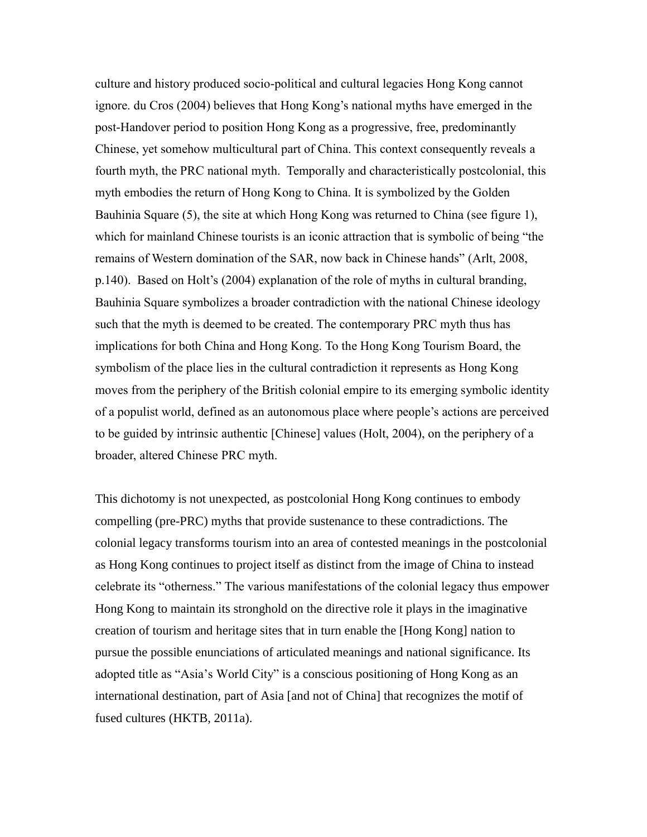culture and history produced socio-political and cultural legacies Hong Kong cannot ignore. du Cros (2004) believes that Hong Kong's national myths have emerged in the post-Handover period to position Hong Kong as a progressive, free, predominantly Chinese, yet somehow multicultural part of China. This context consequently reveals a fourth myth, the PRC national myth. Temporally and characteristically postcolonial, this myth embodies the return of Hong Kong to China. It is symbolized by the Golden Bauhinia Square (5), the site at which Hong Kong was returned to China (see figure 1), which for mainland Chinese tourists is an iconic attraction that is symbolic of being "the remains of Western domination of the SAR, now back in Chinese hands" (Arlt, 2008, p.140). Based on Holt's (2004) explanation of the role of myths in cultural branding, Bauhinia Square symbolizes a broader contradiction with the national Chinese ideology such that the myth is deemed to be created. The contemporary PRC myth thus has implications for both China and Hong Kong. To the Hong Kong Tourism Board, the symbolism of the place lies in the cultural contradiction it represents as Hong Kong moves from the periphery of the British colonial empire to its emerging symbolic identity of a populist world, defined as an autonomous place where people's actions are perceived to be guided by intrinsic authentic [Chinese] values (Holt, 2004), on the periphery of a broader, altered Chinese PRC myth.

This dichotomy is not unexpected, as postcolonial Hong Kong continues to embody compelling (pre-PRC) myths that provide sustenance to these contradictions. The colonial legacy transforms tourism into an area of contested meanings in the postcolonial as Hong Kong continues to project itself as distinct from the image of China to instead celebrate its "otherness." The various manifestations of the colonial legacy thus empower Hong Kong to maintain its stronghold on the directive role it plays in the imaginative creation of tourism and heritage sites that in turn enable the [Hong Kong] nation to pursue the possible enunciations of articulated meanings and national significance. Its adopted title as "Asia's World City" is a conscious positioning of Hong Kong as an international destination, part of Asia [and not of China] that recognizes the motif of fused cultures (HKTB, 2011a).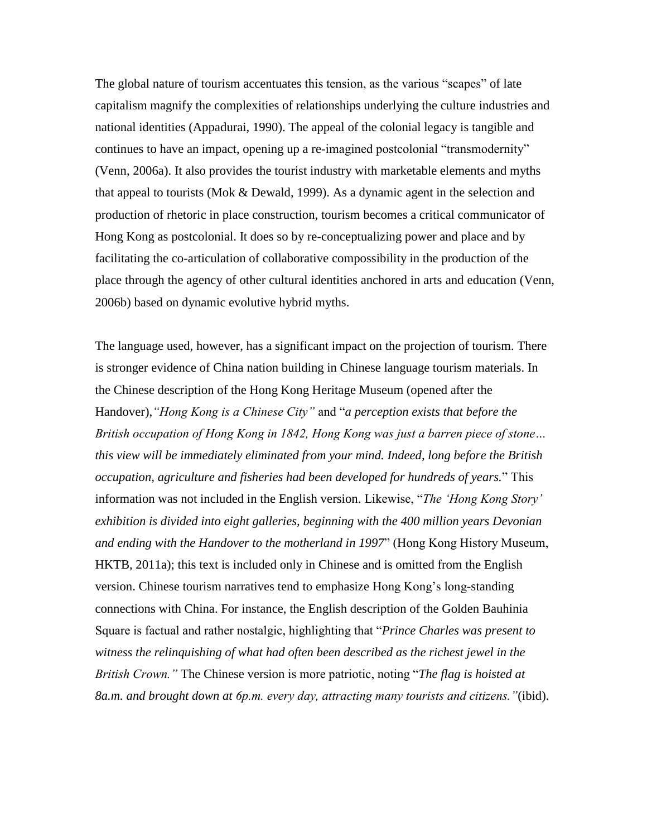The global nature of tourism accentuates this tension, as the various "scapes" of late capitalism magnify the complexities of relationships underlying the culture industries and national identities (Appadurai, 1990). The appeal of the colonial legacy is tangible and continues to have an impact, opening up a re-imagined postcolonial "transmodernity" (Venn, 2006a). It also provides the tourist industry with marketable elements and myths that appeal to tourists (Mok & Dewald, 1999). As a dynamic agent in the selection and production of rhetoric in place construction, tourism becomes a critical communicator of Hong Kong as postcolonial. It does so by re-conceptualizing power and place and by facilitating the co-articulation of collaborative compossibility in the production of the place through the agency of other cultural identities anchored in arts and education (Venn, 2006b) based on dynamic evolutive hybrid myths.

The language used, however, has a significant impact on the projection of tourism. There is stronger evidence of China nation building in Chinese language tourism materials. In the Chinese description of the Hong Kong Heritage Museum (opened after the Handover),*"Hong Kong is a Chinese City"* and "*a perception exists that before the British occupation of Hong Kong in 1842, Hong Kong was just a barren piece of stone… this view will be immediately eliminated from your mind. Indeed, long before the British occupation, agriculture and fisheries had been developed for hundreds of years.*" This information was not included in the English version. Likewise, "*The 'Hong Kong Story' exhibition is divided into eight galleries, beginning with the 400 million years Devonian and ending with the Handover to the motherland in 1997*" (Hong Kong History Museum, HKTB, 2011a); this text is included only in Chinese and is omitted from the English version. Chinese tourism narratives tend to emphasize Hong Kong's long-standing connections with China. For instance, the English description of the Golden Bauhinia Square is factual and rather nostalgic, highlighting that "*Prince Charles was present to witness the relinquishing of what had often been described as the richest jewel in the British Crown."* The Chinese version is more patriotic, noting "*The flag is hoisted at 8a.m. and brought down at 6p.m. every day, attracting many tourists and citizens."*(ibid).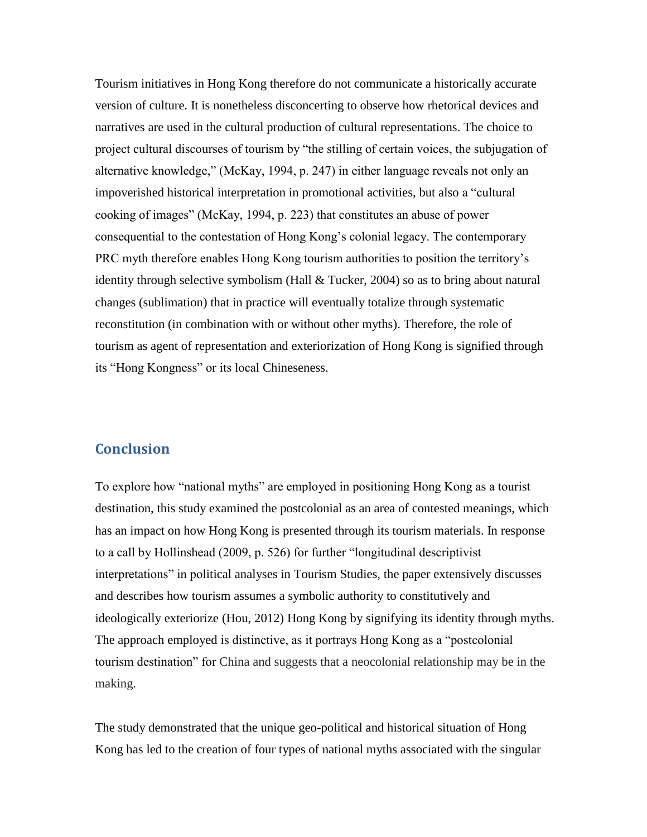Tourism initiatives in Hong Kong therefore do not communicate a historically accurate version of culture. It is nonetheless disconcerting to observe how rhetorical devices and narratives are used in the cultural production of cultural representations. The choice to project cultural discourses of tourism by "the stilling of certain voices, the subjugation of alternative knowledge," (McKay, 1994, p. 247) in either language reveals not only an impoverished historical interpretation in promotional activities, but also a "cultural cooking of images" (McKay, 1994, p. 223) that constitutes an abuse of power consequential to the contestation of Hong Kong's colonial legacy. The contemporary PRC myth therefore enables Hong Kong tourism authorities to position the territory's identity through selective symbolism (Hall & Tucker, 2004) so as to bring about natural changes (sublimation) that in practice will eventually totalize through systematic reconstitution (in combination with or without other myths). Therefore, the role of tourism as agent of representation and exteriorization of Hong Kong is signified through its "Hong Kongness" or its local Chineseness.

# **Conclusion**

To explore how "national myths" are employed in positioning Hong Kong as a tourist destination, this study examined the postcolonial as an area of contested meanings, which has an impact on how Hong Kong is presented through its tourism materials. In response to a call by Hollinshead (2009, p. 526) for further "longitudinal descriptivist interpretations" in political analyses in Tourism Studies, the paper extensively discusses and describes how tourism assumes a symbolic authority to constitutively and ideologically exteriorize (Hou, 2012) Hong Kong by signifying its identity through myths. The approach employed is distinctive, as it portrays Hong Kong as a "postcolonial tourism destination" for China and suggests that a neocolonial relationship may be in the making.

The study demonstrated that the unique geo-political and historical situation of Hong Kong has led to the creation of four types of national myths associated with the singular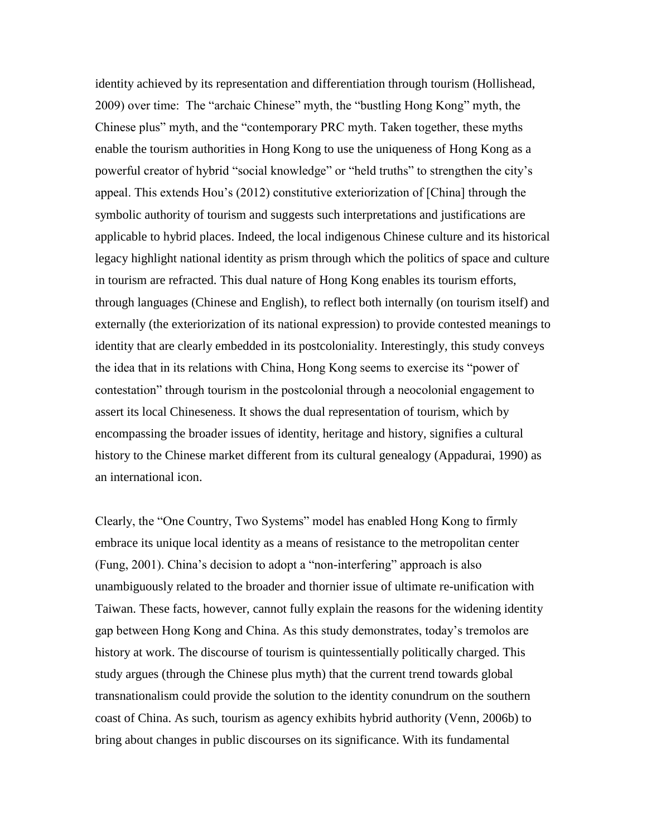identity achieved by its representation and differentiation through tourism (Hollishead, 2009) over time: The "archaic Chinese" myth, the "bustling Hong Kong" myth, the Chinese plus" myth, and the "contemporary PRC myth. Taken together, these myths enable the tourism authorities in Hong Kong to use the uniqueness of Hong Kong as a powerful creator of hybrid "social knowledge" or "held truths" to strengthen the city's appeal. This extends Hou's (2012) constitutive exteriorization of [China] through the symbolic authority of tourism and suggests such interpretations and justifications are applicable to hybrid places. Indeed, the local indigenous Chinese culture and its historical legacy highlight national identity as prism through which the politics of space and culture in tourism are refracted. This dual nature of Hong Kong enables its tourism efforts, through languages (Chinese and English), to reflect both internally (on tourism itself) and externally (the exteriorization of its national expression) to provide contested meanings to identity that are clearly embedded in its postcoloniality. Interestingly, this study conveys the idea that in its relations with China, Hong Kong seems to exercise its "power of contestation" through tourism in the postcolonial through a neocolonial engagement to assert its local Chineseness. It shows the dual representation of tourism, which by encompassing the broader issues of identity, heritage and history, signifies a cultural history to the Chinese market different from its cultural genealogy (Appadurai, 1990) as an international icon.

Clearly, the "One Country, Two Systems" model has enabled Hong Kong to firmly embrace its unique local identity as a means of resistance to the metropolitan center (Fung, 2001). China's decision to adopt a "non-interfering" approach is also unambiguously related to the broader and thornier issue of ultimate re-unification with Taiwan. These facts, however, cannot fully explain the reasons for the widening identity gap between Hong Kong and China. As this study demonstrates, today's tremolos are history at work. The discourse of tourism is quintessentially politically charged. This study argues (through the Chinese plus myth) that the current trend towards global transnationalism could provide the solution to the identity conundrum on the southern coast of China. As such, tourism as agency exhibits hybrid authority (Venn, 2006b) to bring about changes in public discourses on its significance. With its fundamental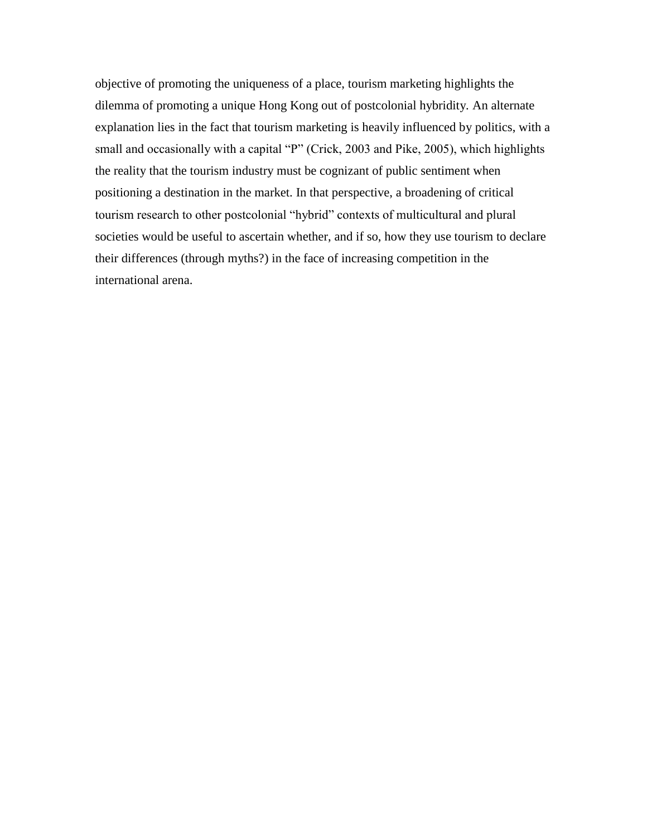objective of promoting the uniqueness of a place, tourism marketing highlights the dilemma of promoting a unique Hong Kong out of postcolonial hybridity*.* An alternate explanation lies in the fact that tourism marketing is heavily influenced by politics, with a small and occasionally with a capital "P" (Crick, 2003 and Pike, 2005), which highlights the reality that the tourism industry must be cognizant of public sentiment when positioning a destination in the market. In that perspective, a broadening of critical tourism research to other postcolonial "hybrid" contexts of multicultural and plural societies would be useful to ascertain whether, and if so, how they use tourism to declare their differences (through myths?) in the face of increasing competition in the international arena.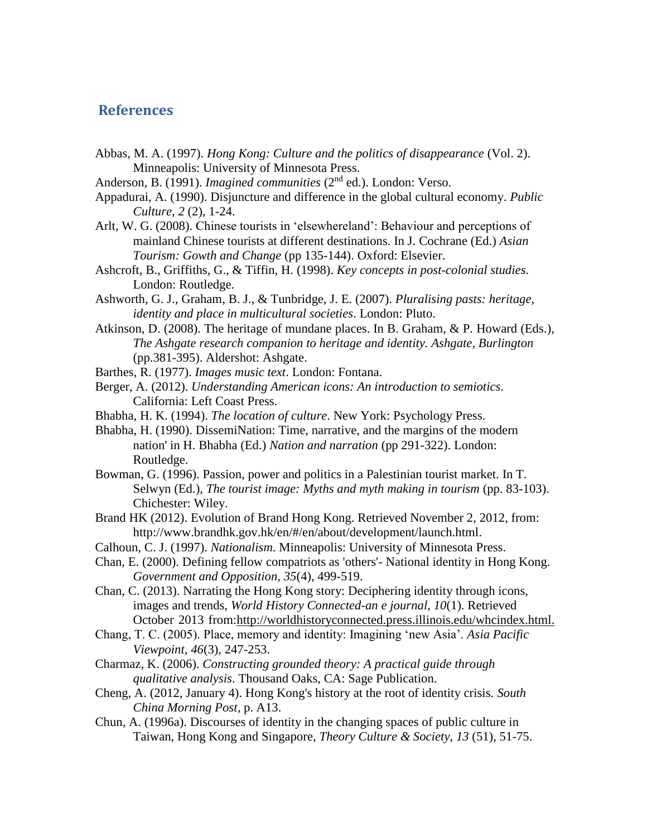## **References**

- Abbas, M. A. (1997). *Hong Kong: Culture and the politics of disappearance* (Vol. 2). Minneapolis: University of Minnesota Press.
- Anderson, B. (1991). *Imagined communities* (2<sup>nd</sup> ed.). London: Verso.
- Appadurai, A. (1990). Disjuncture and difference in the global cultural economy. *Public Culture, 2* (2), 1-24.
- Arlt, W. G. (2008). Chinese tourists in 'elsewhereland': Behaviour and perceptions of mainland Chinese tourists at different destinations. In J. Cochrane (Ed.) *Asian Tourism: Gowth and Change* (pp 135-144). Oxford: Elsevier.
- Ashcroft, B., Griffiths, G., & Tiffin, H. (1998). *Key concepts in post-colonial studies*. London: Routledge.
- Ashworth, G. J., Graham, B. J., & Tunbridge, J. E. (2007). *Pluralising pasts: heritage, identity and place in multicultural societies*. London: Pluto.
- Atkinson, D. (2008). The heritage of mundane places. In B. Graham, & P. Howard (Eds.), *The Ashgate research companion to heritage and identity. Ashgate, Burlington* (pp.381-395). Aldershot: Ashgate.
- Barthes, R. (1977). *Images music text*. London: Fontana.
- Berger, A. (2012). *Understanding American icons: An introduction to semiotics*. California: Left Coast Press.
- Bhabha, H. K. (1994). *The location of culture*. New York: Psychology Press.
- Bhabha, H. (1990). DissemiNation: Time, narrative, and the margins of the modern nation' in H. Bhabha (Ed.) *Nation and narration* (pp 291-322). London: Routledge.
- Bowman, G. (1996). Passion, power and politics in a Palestinian tourist market. In T. Selwyn (Ed.), *The tourist image: Myths and myth making in tourism* (pp. 83-103). Chichester: Wiley.
- Brand HK (2012). Evolution of Brand Hong Kong. Retrieved November 2, 2012, from: [http://www.brandhk.gov.hk/en/#/en/about/development/launch.html.](http://www.brandhk.gov.hk/en/#/en/about/development/launch.html)
- Calhoun, C. J. (1997). *Nationalism*. Minneapolis: University of Minnesota Press.
- Chan, E. (2000). Defining fellow compatriots as 'others'- National identity in Hong Kong. *Government and Opposition, 35*(4), 499-519.
- Chan, C. (2013). Narrating the Hong Kong story: Deciphering identity through icons, images and trends, *World History Connected-an e journal, 10*(1). Retrieved October 2013 from[:http://worldhistoryconnected.press.illinois.edu/whcindex.html.](http://worldhistoryconnected.press.illinois.edu/whcindex.html)
- Chang, T. C. (2005). Place, memory and identity: Imagining 'new Asia'. *Asia Pacific Viewpoint, 46*(3), 247-253.
- Charmaz, K. (2006). *Constructing grounded theory: A practical guide through qualitative analysis*. Thousand Oaks, CA: Sage Publication.
- Cheng, A. (2012, January 4). Hong Kong's history at the root of identity crisis. *South China Morning Post*, p. A13.
- Chun, A. (1996a). Discourses of identity in the changing spaces of public culture in Taiwan, Hong Kong and Singapore, *Theory Culture & Society*, *13* (51), 51-75.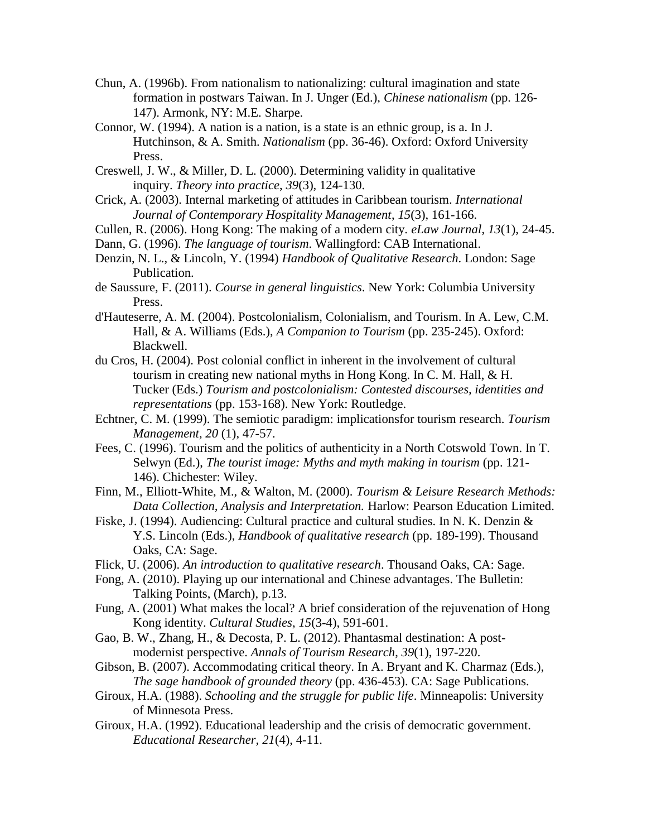- Chun, A. (1996b). From nationalism to nationalizing: cultural imagination and state formation in postwars Taiwan. In J. Unger (Ed.), *Chinese nationalism* (pp. 126- 147). Armonk, NY: M.E. Sharpe.
- Connor, W. (1994). A nation is a nation, is a state is an ethnic group, is a. In J. Hutchinson, & A. Smith. *Nationalism* (pp. 36-46). Oxford: Oxford University Press.
- Creswell, J. W., & Miller, D. L. (2000). Determining validity in qualitative inquiry. *Theory into practice*, *39*(3), 124-130.
- Crick, A. (2003). Internal marketing of attitudes in Caribbean tourism. *International Journal of Contemporary Hospitality Management*, *15*(3), 161-166.
- Cullen, R. (2006). Hong Kong: The making of a modern city. *eLaw Journal*, *13*(1), 24-45.
- Dann, G. (1996). *The language of tourism*. Wallingford: CAB International.
- Denzin, N. L., & Lincoln, Y. (1994) *Handbook of Qualitative Research*. London: Sage Publication.
- de Saussure, F. (2011). *Course in general linguistics*. New York: Columbia University Press.
- d'Hauteserre, A. M. (2004). Postcolonialism, Colonialism, and Tourism. In A. Lew, C.M. Hall, & A. Williams (Eds.), *A Companion to Tourism* (pp. 235-245). Oxford: Blackwell.
- du Cros, H. (2004). Post colonial conflict in inherent in the involvement of cultural tourism in creating new national myths in Hong Kong. In C. M. Hall, & H. Tucker (Eds.) *Tourism and postcolonialism: Contested discourses, identities and representations* (pp. 153-168). New York: Routledge.
- Echtner, C. M. (1999). The semiotic paradigm: implicationsfor tourism research. *Tourism Management, 20* (1), 47-57.
- Fees, C. (1996). Tourism and the politics of authenticity in a North Cotswold Town. In T. Selwyn (Ed.), *The tourist image: Myths and myth making in tourism* (pp. 121- 146). Chichester: Wiley.
- Finn, M., Elliott-White, M., & Walton, M. (2000). *Tourism & Leisure Research Methods: Data Collection, Analysis and Interpretation.* Harlow: Pearson Education Limited.
- Fiske, J. (1994). Audiencing: Cultural practice and cultural studies. In N. K. Denzin & Y.S. Lincoln (Eds.), *Handbook of qualitative research* (pp. 189-199). Thousand Oaks, CA: Sage.
- Flick, U. (2006). *An introduction to qualitative research*. Thousand Oaks, CA: Sage.
- Fong, A. (2010). Playing up our international and Chinese advantages. The Bulletin: Talking Points, (March), p.13.
- Fung, A. (2001) What makes the local? A brief consideration of the rejuvenation of Hong Kong identity. *Cultural Studies*, *15*(3-4), 591-601.
- Gao, B. W., Zhang, H., & Decosta, P. L. (2012). Phantasmal destination: A postmodernist perspective. *Annals of Tourism Research*, *39*(1), 197-220.
- Gibson, B. (2007). Accommodating critical theory. In A. Bryant and K. Charmaz (Eds.), *The sage handbook of grounded theory* (pp. 436-453). CA: Sage Publications.
- Giroux, H.A. (1988). *Schooling and the struggle for public life*. Minneapolis: University of Minnesota Press.
- Giroux, H.A. (1992). Educational leadership and the crisis of democratic government. *Educational Researcher, 21*(4), 4-11.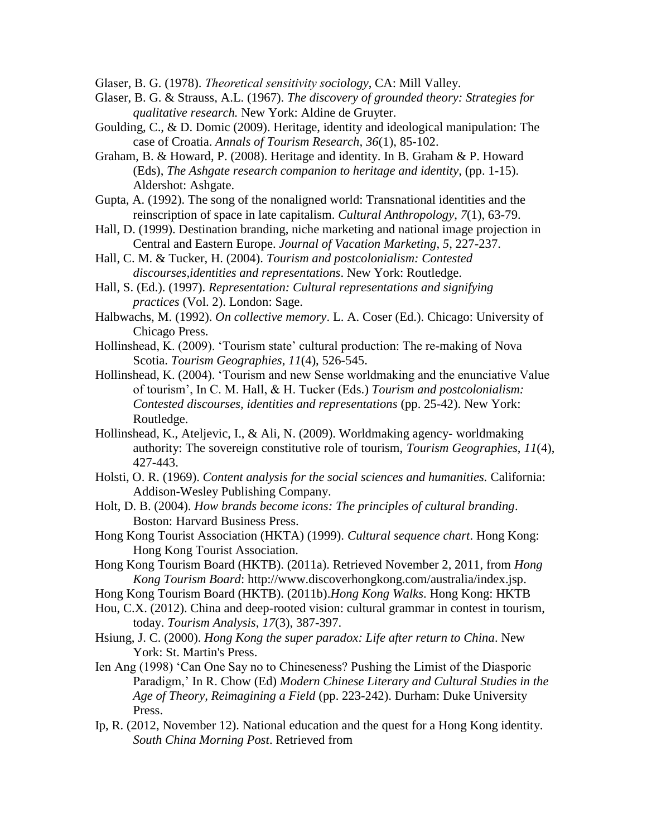Glaser, B. G. (1978). *Theoretical sensitivity sociology*, CA: Mill Valley.

- Glaser, B. G. & Strauss, A.L. (1967). *The discovery of grounded theory: Strategies for qualitative research.* New York: Aldine de Gruyter.
- Goulding, C., & D. Domic (2009). Heritage, identity and ideological manipulation: The case of Croatia. *Annals of Tourism Research, 36*(1), 85-102.
- Graham, B. & Howard, P. (2008). Heritage and identity. In B. Graham & P. Howard (Eds), *The Ashgate research companion to heritage and identity,* (pp. 1-15). Aldershot: Ashgate.
- Gupta, A. (1992). The song of the nonaligned world: Transnational identities and the reinscription of space in late capitalism. *Cultural Anthropology*, *7*(1), 63-79.
- Hall, D. (1999). Destination branding, niche marketing and national image projection in Central and Eastern Europe. *Journal of Vacation Marketing*, *5*, 227-237.
- Hall, C. M. & Tucker, H. (2004). *Tourism and postcolonialism: Contested discourses,identities and representations*. New York: Routledge.
- Hall, S. (Ed.). (1997). *Representation: Cultural representations and signifying practices* (Vol. 2). London: Sage.
- Halbwachs, M. (1992). *On collective memory*. L. A. Coser (Ed.). Chicago: University of Chicago Press.
- Hollinshead, K. (2009). 'Tourism state' cultural production: The re-making of Nova Scotia. *Tourism Geographies*, *11*(4), 526-545.
- Hollinshead, K. (2004). 'Tourism and new Sense worldmaking and the enunciative Value of tourism', In C. M. Hall, & H. Tucker (Eds.) *Tourism and postcolonialism: Contested discourses, identities and representations* (pp. 25-42). New York: Routledge.
- Hollinshead, K., Ateljevic, I., & Ali, N. (2009). Worldmaking agency- worldmaking authority: The sovereign constitutive role of tourism, *Tourism Geographies*, *11*(4), 427-443.
- Holsti, O. R. (1969). *Content analysis for the social sciences and humanities.* California: Addison-Wesley Publishing Company.
- Holt, D. B. (2004). *How brands become icons: The principles of cultural branding*. Boston: Harvard Business Press.
- Hong Kong Tourist Association (HKTA) (1999). *Cultural sequence chart*. Hong Kong: Hong Kong Tourist Association.
- Hong Kong Tourism Board (HKTB). (2011a). Retrieved November 2, 2011, from *Hong Kong Tourism Board*: [http://www.discoverhongkong.com/australia/index.jsp.](http://www.discoverhongkong.com/australia/index.jsp)
- Hong Kong Tourism Board (HKTB). (2011b).*Hong Kong Walks*. Hong Kong: HKTB
- Hou, C.X. (2012). China and deep-rooted vision: cultural grammar in contest in tourism, today. *Tourism Analysis*, *17*(3), 387-397.
- Hsiung, J. C. (2000). *Hong Kong the super paradox: Life after return to China*. New York: St. Martin's Press.
- Ien Ang (1998) 'Can One Say no to Chineseness? Pushing the Limist of the Diasporic Paradigm,' In R. Chow (Ed) *Modern Chinese Literary and Cultural Studies in the Age of Theory, Reimagining a Field* (pp. 223-242). Durham: Duke University Press.
- Ip, R. (2012, November 12). National education and the quest for a Hong Kong identity. *South China Morning Post*. Retrieved from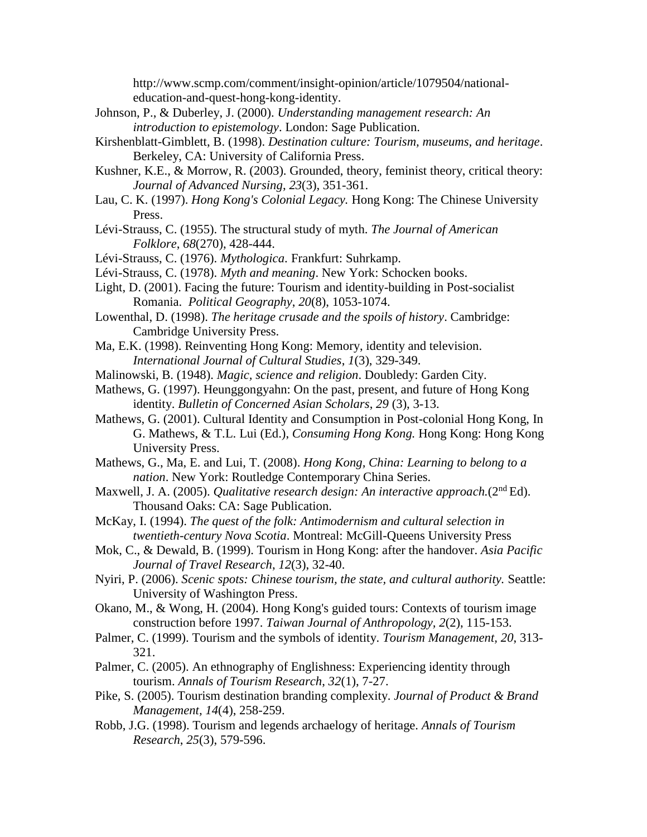[http://www.scmp.com/comment/insight-opinion/article/1079504/national](http://www.scmp.com/comment/insight-opinion/article/1079504/national-education-and-quest-hong-kong-identity)[education-and-quest-hong-kong-identity.](http://www.scmp.com/comment/insight-opinion/article/1079504/national-education-and-quest-hong-kong-identity)

- Johnson, P., & Duberley, J. (2000). *Understanding management research: An introduction to epistemology*. London: Sage Publication.
- Kirshenblatt-Gimblett, B. (1998). *Destination culture: Tourism, museums, and heritage*. Berkeley, CA: University of California Press.
- Kushner, K.E., & Morrow, R. (2003). Grounded, theory, feminist theory, critical theory: *Journal of Advanced Nursing*, *23*(3), 351-361.
- Lau, C. K. (1997). *Hong Kong's Colonial Legacy.* Hong Kong: The Chinese University Press.
- Lévi-Strauss, C. (1955). The structural study of myth. *The Journal of American Folklore*, *68*(270), 428-444.
- Lévi-Strauss, C. (1976). *Mythologica*. Frankfurt: Suhrkamp.
- Lévi-Strauss, C. (1978). *Myth and meaning*. New York: Schocken books.
- Light, D. (2001). Facing the future: Tourism and identity-building in Post-socialist Romania. *Political Geography*, *20*(8), 1053-1074.
- Lowenthal, D. (1998). *The heritage crusade and the spoils of history*. Cambridge: Cambridge University Press.
- Ma, E.K. (1998). Reinventing Hong Kong: Memory, identity and television. *International Journal of Cultural Studies*, *1*(3), 329-349.
- Malinowski, B. (1948). *Magic, science and religion*. Doubledy: Garden City.
- Mathews, G. (1997). Heunggongyahn: On the past, present, and future of Hong Kong identity. *Bulletin of Concerned Asian Scholars*, *29* (3), 3-13.
- Mathews, G. (2001). Cultural Identity and Consumption in Post-colonial Hong Kong, In G. Mathews, & T.L. Lui (Ed.), *Consuming Hong Kong.* Hong Kong: Hong Kong University Press.
- Mathews, G., Ma, E. and Lui, T. (2008). *Hong Kong, China: Learning to belong to a nation*. New York: Routledge Contemporary China Series.
- Maxwell, J. A. (2005). *Qualitative research design: An interactive approach.*(2nd Ed). Thousand Oaks: CA: Sage Publication.
- McKay, I. (1994). *The quest of the folk: Antimodernism and cultural selection in twentieth-century Nova Scotia*. Montreal: McGill-Queens University Press
- Mok, C., & Dewald, B. (1999). Tourism in Hong Kong: after the handover. *Asia Pacific Journal of Travel Research*, *12*(3), 32-40.
- Nyiri, P. (2006). *Scenic spots: Chinese tourism, the state, and cultural authority.* Seattle: University of Washington Press.
- Okano, M., & Wong, H. (2004). Hong Kong's guided tours: Contexts of tourism image construction before 1997. *Taiwan Journal of Anthropology, 2*(2), 115-153.
- Palmer, C. (1999). Tourism and the symbols of identity. *Tourism Management, 20*, 313- 321.
- Palmer, C. (2005). An ethnography of Englishness: Experiencing identity through tourism. *Annals of Tourism Research*, *32*(1), 7-27.
- Pike, S. (2005). Tourism destination branding complexity. *Journal of Product & Brand Management, 14*(4), 258-259.
- Robb, J.G. (1998). Tourism and legends archaelogy of heritage. *Annals of Tourism Research*, *25*(3), 579-596.